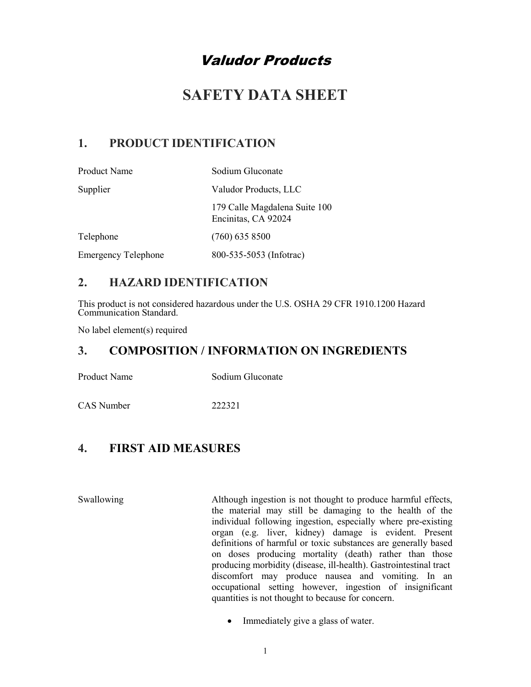# Valudor Products

# SAFETY DATA SHEET

## 1. PRODUCT IDENTIFICATION

| <b>Product Name</b>        | Sodium Gluconate                                     |
|----------------------------|------------------------------------------------------|
| Supplier                   | Valudor Products, LLC                                |
|                            | 179 Calle Magdalena Suite 100<br>Encinitas, CA 92024 |
| Telephone                  | $(760)$ 635 8500                                     |
| <b>Emergency Telephone</b> | 800-535-5053 (Infotrac)                              |

## 2. HAZARD IDENTIFICATION

This product is not considered hazardous under the U.S. OSHA 29 CFR 1910.1200 Hazard Communication Standard.

No label element(s) required

## 3. COMPOSITION / INFORMATION ON INGREDIENTS

Product Name Sodium Gluconate

CAS Number 222321

## 4. FIRST AID MEASURES

Swallowing **Although ingestion is not thought to produce harmful effects**, the material may still be damaging to the health of the individual following ingestion, especially where pre-existing organ (e.g. liver, kidney) damage is evident. Present definitions of harmful or toxic substances are generally based on doses producing mortality (death) rather than those producing morbidity (disease, ill-health). Gastrointestinal tract discomfort may produce nausea and vomiting. In an occupational setting however, ingestion of insignificant quantities is not thought to because for concern.

• Immediately give a glass of water.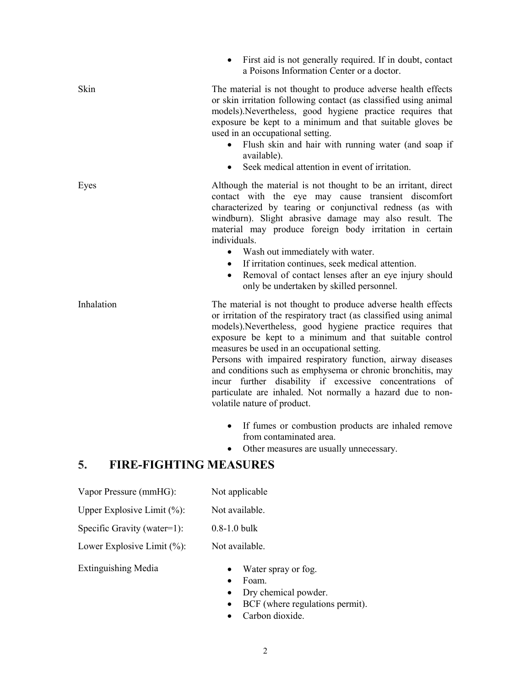First aid is not generally required. If in doubt, contact a Poisons Information Center or a doctor.

Skin The material is not thought to produce adverse health effects or skin irritation following contact (as classified using animal models).Nevertheless, good hygiene practice requires that exposure be kept to a minimum and that suitable gloves be used in an occupational setting.

- Flush skin and hair with running water (and soap if available).
- Seek medical attention in event of irritation.

Eyes Although the material is not thought to be an irritant, direct contact with the eye may cause transient discomfort characterized by tearing or conjunctival redness (as with windburn). Slight abrasive damage may also result. The material may produce foreign body irritation in certain individuals.

- Wash out immediately with water.
- If irritation continues, seek medical attention.
- Removal of contact lenses after an eye injury should only be undertaken by skilled personnel.

Inhalation The material is not thought to produce adverse health effects or irritation of the respiratory tract (as classified using animal models).Nevertheless, good hygiene practice requires that exposure be kept to a minimum and that suitable control measures be used in an occupational setting.

> Persons with impaired respiratory function, airway diseases and conditions such as emphysema or chronic bronchitis, may incur further disability if excessive concentrations of particulate are inhaled. Not normally a hazard due to nonvolatile nature of product.

- If fumes or combustion products are inhaled remove from contaminated area.
- Other measures are usually unnecessary.

## 5. FIRE-FIGHTING MEASURES

| Vapor Pressure (mmHG):          | Not applicable   |
|---------------------------------|------------------|
| Upper Explosive Limit $(\%):$   | Not available.   |
| Specific Gravity (water=1):     | $0.8 - 1.0$ bulk |
| Lower Explosive Limit $(\% )$ : | Not available.   |

Extinguishing Media

- Water spray or fog.
	- Foam.
	- Dry chemical powder.
	- BCF (where regulations permit).
	- Carbon dioxide.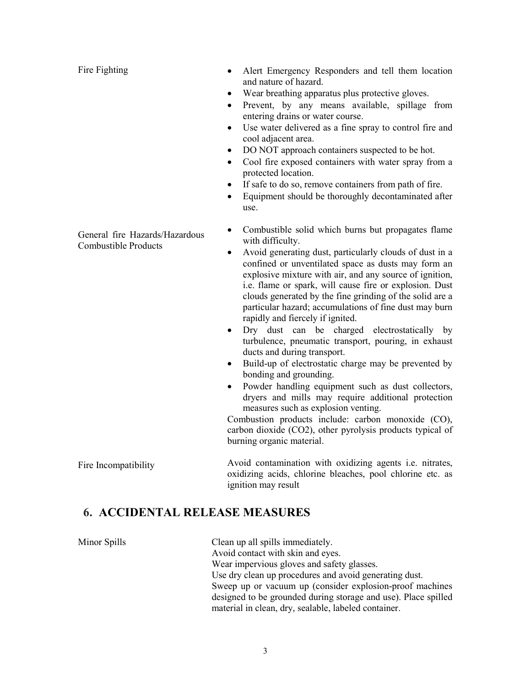Fire Fighting

- Alert Emergency Responders and tell them location and nature of hazard.
- Wear breathing apparatus plus protective gloves.
- Prevent, by any means available, spillage from entering drains or water course.
- Use water delivered as a fine spray to control fire and cool adjacent area.
- DO NOT approach containers suspected to be hot.
- Cool fire exposed containers with water spray from a protected location.
- If safe to do so, remove containers from path of fire.
- Equipment should be thoroughly decontaminated after use.
- Combustible solid which burns but propagates flame with difficulty.
- Avoid generating dust, particularly clouds of dust in a confined or unventilated space as dusts may form an explosive mixture with air, and any source of ignition, i.e. flame or spark, will cause fire or explosion. Dust clouds generated by the fine grinding of the solid are a particular hazard; accumulations of fine dust may burn rapidly and fiercely if ignited.
- Dry dust can be charged electrostatically by turbulence, pneumatic transport, pouring, in exhaust ducts and during transport.
- Build-up of electrostatic charge may be prevented by bonding and grounding.
- Powder handling equipment such as dust collectors, dryers and mills may require additional protection measures such as explosion venting.

Combustion products include: carbon monoxide (CO), carbon dioxide (CO2), other pyrolysis products typical of burning organic material.

Avoid contamination with oxidizing agents i.e. nitrates, oxidizing acids, chlorine bleaches, pool chlorine etc. as ignition may result

## 6. ACCIDENTAL RELEASE MEASURES

Fire Incompatibility

Minor Spills Clean up all spills immediately. Avoid contact with skin and eyes. Wear impervious gloves and safety glasses. Use dry clean up procedures and avoid generating dust. Sweep up or vacuum up (consider explosion-proof machines designed to be grounded during storage and use). Place spilled material in clean, dry, sealable, labeled container.

General fire Hazards/Hazardous Combustible Products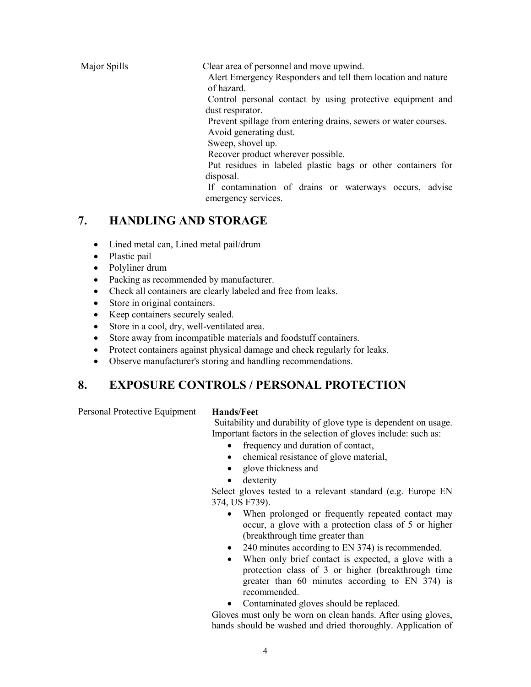Major Spills Clear area of personnel and move upwind.

 Alert Emergency Responders and tell them location and nature of hazard.

 Control personal contact by using protective equipment and dust respirator.

Prevent spillage from entering drains, sewers or water courses.

Avoid generating dust.

Sweep, shovel up.

Recover product wherever possible.

 Put residues in labeled plastic bags or other containers for disposal.

 If contamination of drains or waterways occurs, advise emergency services.

## 7. HANDLING AND STORAGE

- Lined metal can, Lined metal pail/drum
- Plastic pail
- Polyliner drum
- Packing as recommended by manufacturer.
- Check all containers are clearly labeled and free from leaks.
- Store in original containers.
- Keep containers securely sealed.
- Store in a cool, dry, well-ventilated area.
- Store away from incompatible materials and foodstuff containers.
- Protect containers against physical damage and check regularly for leaks.
- Observe manufacturer's storing and handling recommendations.

## 8. EXPOSURE CONTROLS / PERSONAL PROTECTION

Personal Protective Equipment Hands/Feet

Suitability and durability of glove type is dependent on usage. Important factors in the selection of gloves include: such as:

- frequency and duration of contact,
- chemical resistance of glove material,
- glove thickness and
- dexterity

Select gloves tested to a relevant standard (e.g. Europe EN 374, US F739).

- When prolonged or frequently repeated contact may occur, a glove with a protection class of 5 or higher (breakthrough time greater than
- 240 minutes according to EN 374) is recommended.
- When only brief contact is expected, a glove with a protection class of 3 or higher (breakthrough time greater than 60 minutes according to EN 374) is recommended.
- Contaminated gloves should be replaced.

Gloves must only be worn on clean hands. After using gloves, hands should be washed and dried thoroughly. Application of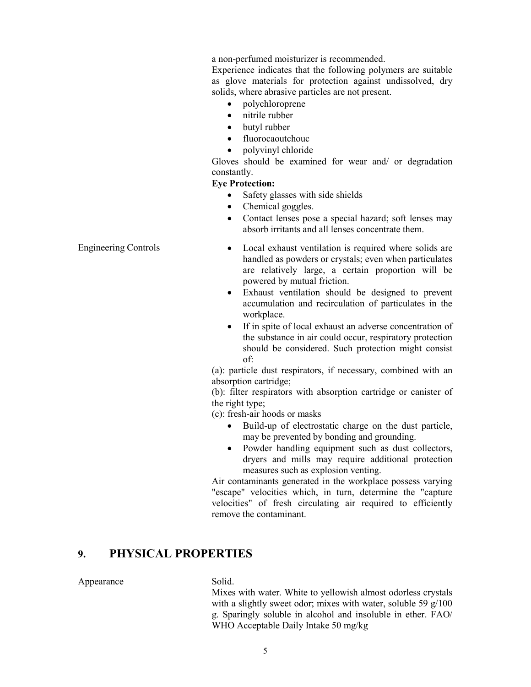a non-perfumed moisturizer is recommended.

Experience indicates that the following polymers are suitable as glove materials for protection against undissolved, dry solids, where abrasive particles are not present.

- polychloroprene
- nitrile rubber
- butyl rubber
- fluorocaoutchouc
- polyvinyl chloride

Gloves should be examined for wear and/ or degradation constantly.

#### Eye Protection:

- Safety glasses with side shields
- Chemical goggles.
- Contact lenses pose a special hazard; soft lenses may absorb irritants and all lenses concentrate them.
- Engineering Controls **•** Local exhaust ventilation is required where solids are handled as powders or crystals; even when particulates are relatively large, a certain proportion will be powered by mutual friction.
	- Exhaust ventilation should be designed to prevent accumulation and recirculation of particulates in the workplace.
	- If in spite of local exhaust an adverse concentration of the substance in air could occur, respiratory protection should be considered. Such protection might consist of:

(a): particle dust respirators, if necessary, combined with an absorption cartridge;

(b): filter respirators with absorption cartridge or canister of the right type;

(c): fresh-air hoods or masks

- Build-up of electrostatic charge on the dust particle, may be prevented by bonding and grounding.
- Powder handling equipment such as dust collectors, dryers and mills may require additional protection measures such as explosion venting.

Air contaminants generated in the workplace possess varying "escape" velocities which, in turn, determine the "capture velocities" of fresh circulating air required to efficiently remove the contaminant.

### 9. PHYSICAL PROPERTIES

### Appearance Solid.

Mixes with water. White to yellowish almost odorless crystals with a slightly sweet odor; mixes with water, soluble 59 g/100 g. Sparingly soluble in alcohol and insoluble in ether. FAO/ WHO Acceptable Daily Intake 50 mg/kg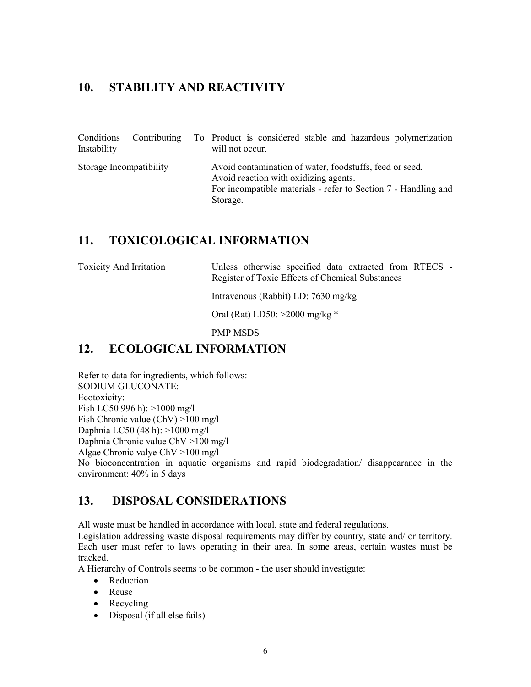## 10. STABILITY AND REACTIVITY

| Conditions<br>Instability |  | Contributing To Product is considered stable and hazardous polymerization<br>will not occur.                                                                                   |
|---------------------------|--|--------------------------------------------------------------------------------------------------------------------------------------------------------------------------------|
| Storage Incompatibility   |  | Avoid contamination of water, foodstuffs, feed or seed.<br>Avoid reaction with oxidizing agents.<br>For incompatible materials - refer to Section 7 - Handling and<br>Storage. |

## 11. TOXICOLOGICAL INFORMATION

Toxicity And Irritation Unless otherwise specified data extracted from RTECS - Register of Toxic Effects of Chemical Substances

Intravenous (Rabbit) LD: 7630 mg/kg

Oral (Rat) LD50: >2000 mg/kg \*

PMP MSDS

## 12. ECOLOGICAL INFORMATION

Refer to data for ingredients, which follows: SODIUM GLUCONATE: Ecotoxicity: Fish LC50 996 h): >1000 mg/l Fish Chronic value (ChV) >100 mg/l Daphnia LC50 (48 h): >1000 mg/l Daphnia Chronic value ChV >100 mg/l Algae Chronic valye ChV >100 mg/l No bioconcentration in aquatic organisms and rapid biodegradation/ disappearance in the environment: 40% in 5 days

## 13. DISPOSAL CONSIDERATIONS

All waste must be handled in accordance with local, state and federal regulations.

Legislation addressing waste disposal requirements may differ by country, state and/ or territory. Each user must refer to laws operating in their area. In some areas, certain wastes must be tracked.

A Hierarchy of Controls seems to be common - the user should investigate:

- Reduction
- Reuse
- Recycling
- Disposal (if all else fails)